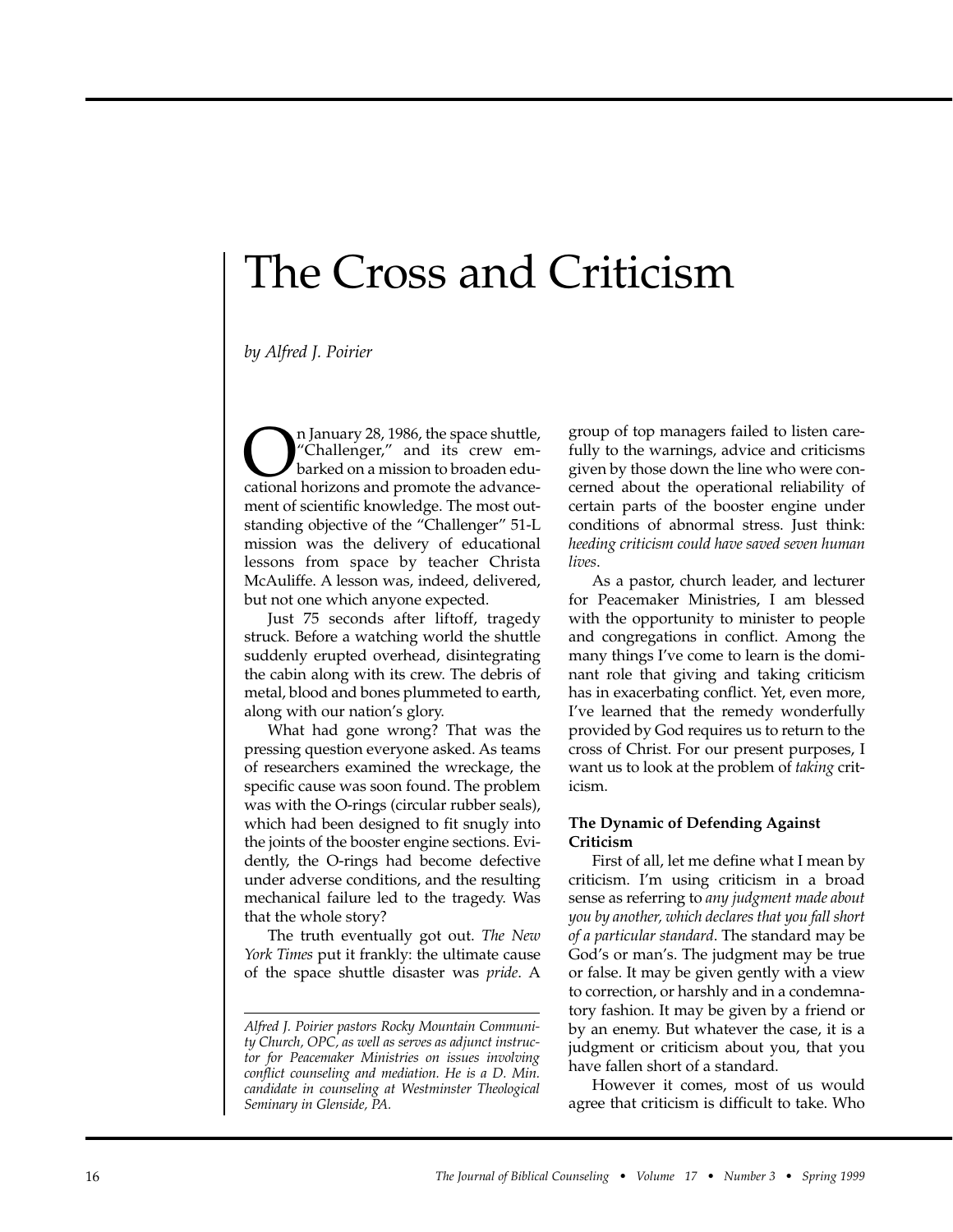# The Cross and Criticism

*by Alfred J. Poirier*

**On** January 28, 1986, the space shuttle,<br>
"Challenger," and its crew embarked on a mission to broaden educational horizons and promote the advance-"Challenger," and its crew embarked on a mission to broaden edument of scientific knowledge. The most outstanding objective of the "Challenger" 51-L mission was the delivery of educational lessons from space by teacher Christa McAuliffe. A lesson was, indeed, delivered, but not one which anyone expected.

Just 75 seconds after liftoff, tragedy struck. Before a watching world the shuttle suddenly erupted overhead, disintegrating the cabin along with its crew. The debris of metal, blood and bones plummeted to earth, along with our nation's glory.

What had gone wrong? That was the pressing question everyone asked. As teams of researchers examined the wreckage, the specific cause was soon found. The problem was with the O-rings (circular rubber seals), which had been designed to fit snugly into the joints of the booster engine sections. Evidently, the O-rings had become defective under adverse conditions, and the resulting mechanical failure led to the tragedy. Was that the whole story?

The truth eventually got out. *The New York Times* put it frankly: the ultimate cause of the space shuttle disaster was *pride*. A group of top managers failed to listen carefully to the warnings, advice and criticisms given by those down the line who were concerned about the operational reliability of certain parts of the booster engine under conditions of abnormal stress. Just think: *heeding criticism could have saved seven human lives*.

As a pastor, church leader, and lecturer for Peacemaker Ministries, I am blessed with the opportunity to minister to people and congregations in conflict. Among the many things I've come to learn is the dominant role that giving and taking criticism has in exacerbating conflict. Yet, even more, I've learned that the remedy wonderfully provided by God requires us to return to the cross of Christ. For our present purposes, I want us to look at the problem of *taking* criticism.

# **The Dynamic of Defending Against Criticism**

First of all, let me define what I mean by criticism. I'm using criticism in a broad sense as referring to *any judgment made about you by another, which declares that you fall short of a particular standard*. The standard may be God's or man's. The judgment may be true or false. It may be given gently with a view to correction, or harshly and in a condemnatory fashion. It may be given by a friend or by an enemy. But whatever the case, it is a judgment or criticism about you, that you have fallen short of a standard.

However it comes, most of us would agree that criticism is difficult to take. Who

*Alfred J. Poirier pastors Rocky Mountain Community Church, OPC, as well as serves as adjunct instructor for Peacemaker Ministries on issues involving conflict counseling and mediation. He is a D. Min. candidate in counseling at Westminster Theological Seminary in Glenside, PA.*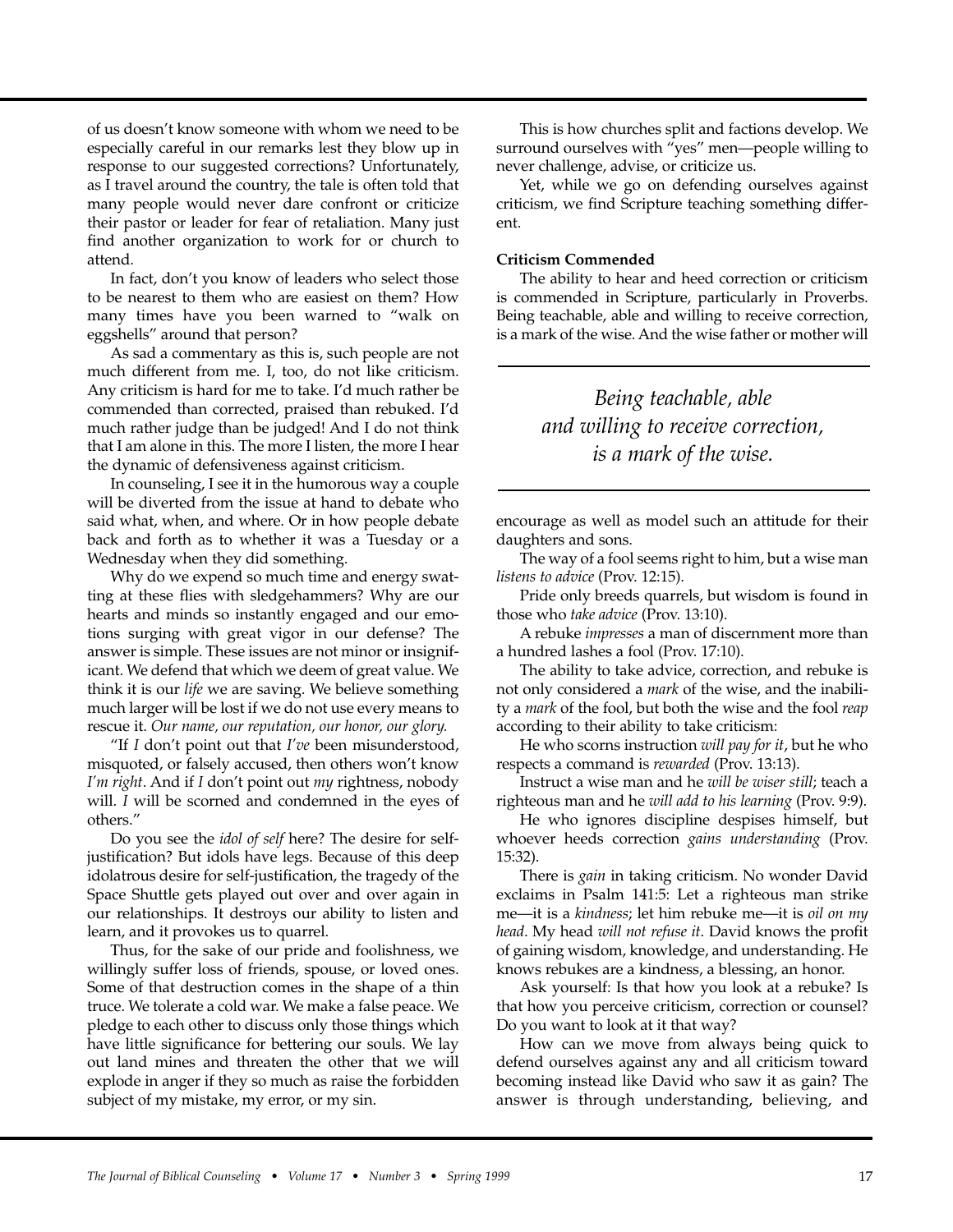of us doesn't know someone with whom we need to be especially careful in our remarks lest they blow up in response to our suggested corrections? Unfortunately, as I travel around the country, the tale is often told that many people would never dare confront or criticize their pastor or leader for fear of retaliation. Many just find another organization to work for or church to attend.

In fact, don't you know of leaders who select those to be nearest to them who are easiest on them? How many times have you been warned to "walk on eggshells" around that person?

As sad a commentary as this is, such people are not much different from me. I, too, do not like criticism. Any criticism is hard for me to take. I'd much rather be commended than corrected, praised than rebuked. I'd much rather judge than be judged! And I do not think that I am alone in this. The more I listen, the more I hear the dynamic of defensiveness against criticism.

In counseling, I see it in the humorous way a couple will be diverted from the issue at hand to debate who said what, when, and where. Or in how people debate back and forth as to whether it was a Tuesday or a Wednesday when they did something.

Why do we expend so much time and energy swatting at these flies with sledgehammers? Why are our hearts and minds so instantly engaged and our emotions surging with great vigor in our defense? The answer is simple. These issues are not minor or insignificant. We defend that which we deem of great value. We think it is our *life* we are saving. We believe something much larger will be lost if we do not use every means to rescue it. *Our name, our reputation, our honor, our glory.*

"If *I* don't point out that *I've* been misunderstood, misquoted, or falsely accused, then others won't know *I'm right*. And if *I* don't point out *my* rightness, nobody will. *I* will be scorned and condemned in the eyes of others."

Do you see the *idol of self* here? The desire for selfjustification? But idols have legs. Because of this deep idolatrous desire for self-justification, the tragedy of the Space Shuttle gets played out over and over again in our relationships. It destroys our ability to listen and learn, and it provokes us to quarrel.

Thus, for the sake of our pride and foolishness, we willingly suffer loss of friends, spouse, or loved ones. Some of that destruction comes in the shape of a thin truce. We tolerate a cold war. We make a false peace. We pledge to each other to discuss only those things which have little significance for bettering our souls. We lay out land mines and threaten the other that we will explode in anger if they so much as raise the forbidden subject of my mistake, my error, or my sin.

This is how churches split and factions develop. We surround ourselves with "yes" men—people willing to never challenge, advise, or criticize us.

Yet, while we go on defending ourselves against criticism, we find Scripture teaching something different.

#### **Criticism Commended**

The ability to hear and heed correction or criticism is commended in Scripture, particularly in Proverbs. Being teachable, able and willing to receive correction, is a mark of the wise. And the wise father or mother will

# *Being teachable, able and willing to receive correction, is a mark of the wise.*

encourage as well as model such an attitude for their daughters and sons.

The way of a fool seems right to him, but a wise man *listens to advice* (Prov. 12:15).

Pride only breeds quarrels, but wisdom is found in those who *take advice* (Prov. 13:10).

A rebuke *impresses* a man of discernment more than a hundred lashes a fool (Prov. 17:10).

The ability to take advice, correction, and rebuke is not only considered a *mark* of the wise, and the inability a *mark* of the fool, but both the wise and the fool *reap* according to their ability to take criticism:

He who scorns instruction *will pay for it*, but he who respects a command is *rewarded* (Prov. 13:13).

Instruct a wise man and he *will be wiser still*; teach a righteous man and he *will add to his learning* (Prov. 9:9).

He who ignores discipline despises himself, but whoever heeds correction *gains understanding* (Prov. 15:32).

There is *gain* in taking criticism. No wonder David exclaims in Psalm 141:5: Let a righteous man strike me—it is a *kindness*; let him rebuke me—it is *oil on my head*. My head *will not refuse it*. David knows the profit of gaining wisdom, knowledge, and understanding. He knows rebukes are a kindness, a blessing, an honor.

Ask yourself: Is that how you look at a rebuke? Is that how you perceive criticism, correction or counsel? Do you want to look at it that way?

How can we move from always being quick to defend ourselves against any and all criticism toward becoming instead like David who saw it as gain? The answer is through understanding, believing, and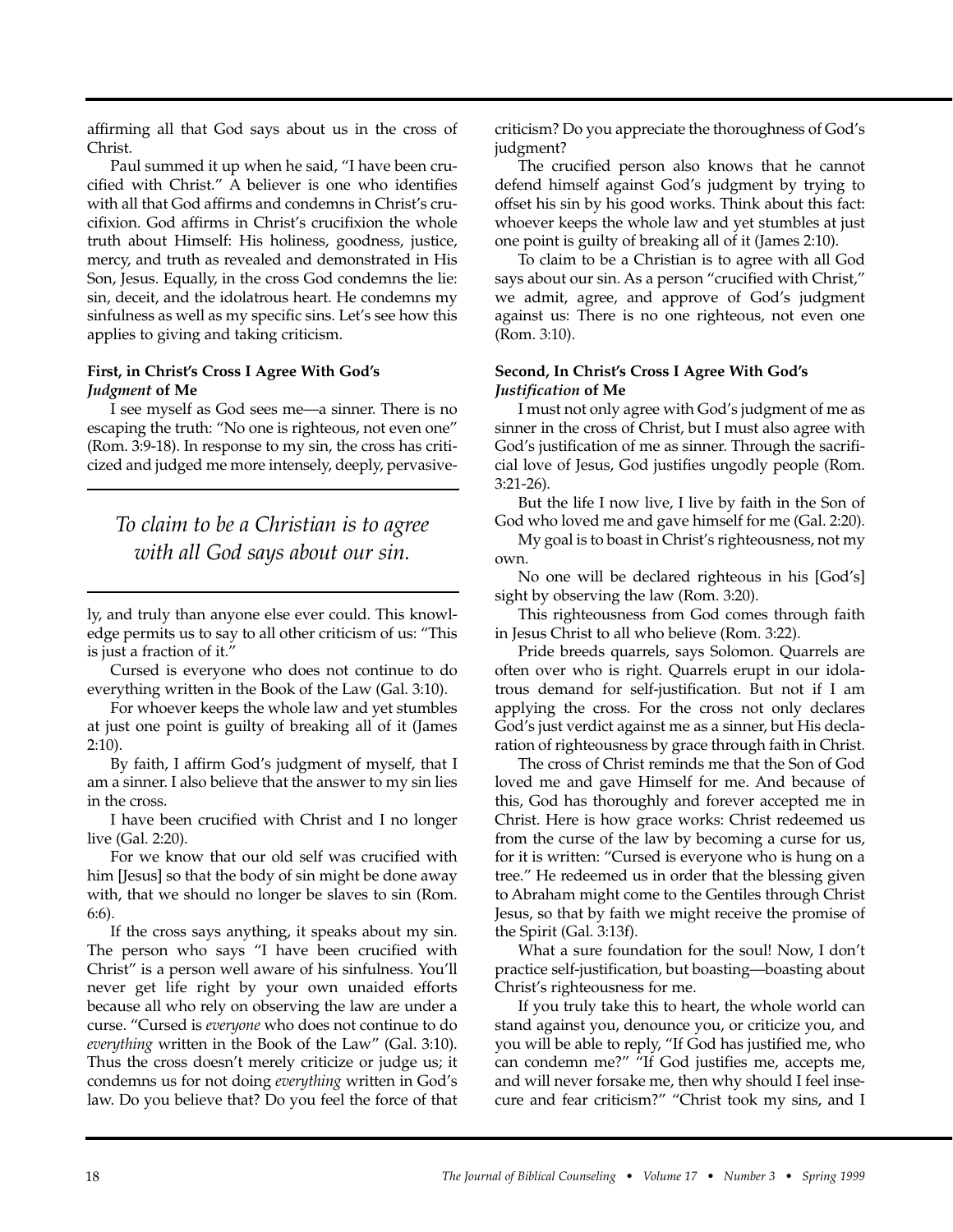affirming all that God says about us in the cross of Christ.

Paul summed it up when he said, "I have been crucified with Christ." A believer is one who identifies with all that God affirms and condemns in Christ's crucifixion. God affirms in Christ's crucifixion the whole truth about Himself: His holiness, goodness, justice, mercy, and truth as revealed and demonstrated in His Son, Jesus. Equally, in the cross God condemns the lie: sin, deceit, and the idolatrous heart. He condemns my sinfulness as well as my specific sins. Let's see how this applies to giving and taking criticism.

# **First, in Christ's Cross I Agree With God's**  *Judgment* **of Me**

I see myself as God sees me—a sinner. There is no escaping the truth: "No one is righteous, not even one" (Rom. 3:9-18). In response to my sin, the cross has criticized and judged me more intensely, deeply, pervasive-

*To claim to be a Christian is to agree with all God says about our sin.*

ly, and truly than anyone else ever could. This knowledge permits us to say to all other criticism of us: "This is just a fraction of it."

Cursed is everyone who does not continue to do everything written in the Book of the Law (Gal. 3:10).

For whoever keeps the whole law and yet stumbles at just one point is guilty of breaking all of it (James 2:10).

By faith, I affirm God's judgment of myself, that I am a sinner. I also believe that the answer to my sin lies in the cross.

I have been crucified with Christ and I no longer live (Gal. 2:20).

For we know that our old self was crucified with him [Jesus] so that the body of sin might be done away with, that we should no longer be slaves to sin (Rom. 6:6).

If the cross says anything, it speaks about my sin. The person who says "I have been crucified with Christ" is a person well aware of his sinfulness. You'll never get life right by your own unaided efforts because all who rely on observing the law are under a curse. "Cursed is *everyone* who does not continue to do *everything* written in the Book of the Law" (Gal. 3:10). Thus the cross doesn't merely criticize or judge us; it condemns us for not doing *everything* written in God's law. Do you believe that? Do you feel the force of that

criticism? Do you appreciate the thoroughness of God's judgment?

The crucified person also knows that he cannot defend himself against God's judgment by trying to offset his sin by his good works. Think about this fact: whoever keeps the whole law and yet stumbles at just one point is guilty of breaking all of it (James 2:10).

To claim to be a Christian is to agree with all God says about our sin. As a person "crucified with Christ," we admit, agree, and approve of God's judgment against us: There is no one righteous, not even one (Rom. 3:10).

# **Second, In Christ's Cross I Agree With God's** *Justification* **of Me**

I must not only agree with God's judgment of me as sinner in the cross of Christ, but I must also agree with God's justification of me as sinner. Through the sacrificial love of Jesus, God justifies ungodly people (Rom. 3:21-26).

But the life I now live, I live by faith in the Son of God who loved me and gave himself for me (Gal. 2:20).

My goal is to boast in Christ's righteousness, not my own.

No one will be declared righteous in his [God's] sight by observing the law (Rom. 3:20).

This righteousness from God comes through faith in Jesus Christ to all who believe (Rom. 3:22).

Pride breeds quarrels, says Solomon. Quarrels are often over who is right. Quarrels erupt in our idolatrous demand for self-justification. But not if I am applying the cross. For the cross not only declares God's just verdict against me as a sinner, but His declaration of righteousness by grace through faith in Christ.

The cross of Christ reminds me that the Son of God loved me and gave Himself for me. And because of this, God has thoroughly and forever accepted me in Christ. Here is how grace works: Christ redeemed us from the curse of the law by becoming a curse for us, for it is written: "Cursed is everyone who is hung on a tree." He redeemed us in order that the blessing given to Abraham might come to the Gentiles through Christ Jesus, so that by faith we might receive the promise of the Spirit (Gal. 3:13f).

What a sure foundation for the soul! Now, I don't practice self-justification, but boasting—boasting about Christ's righteousness for me.

If you truly take this to heart, the whole world can stand against you, denounce you, or criticize you, and you will be able to reply, "If God has justified me, who can condemn me?" "If God justifies me, accepts me, and will never forsake me, then why should I feel insecure and fear criticism?" "Christ took my sins, and I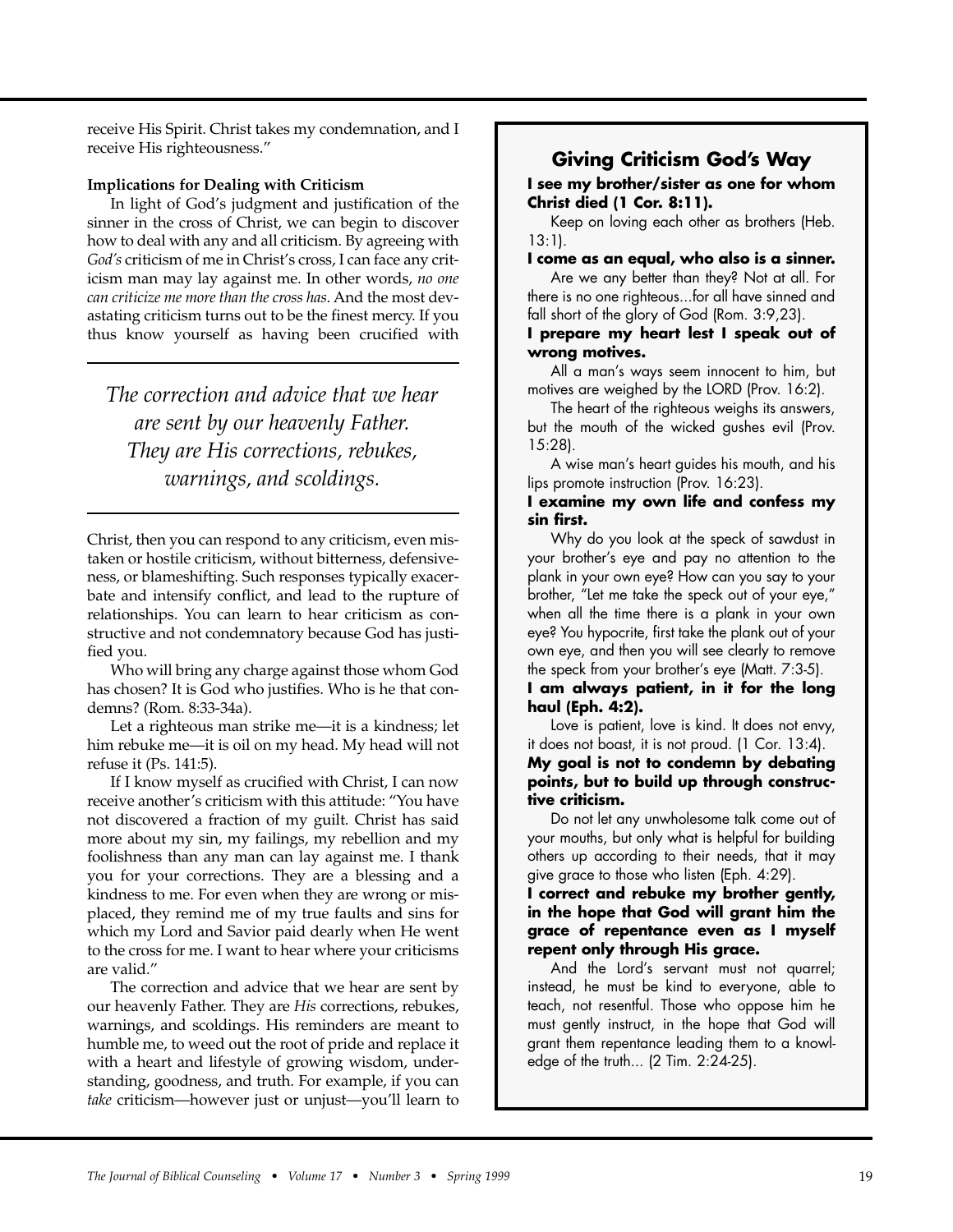receive His Spirit. Christ takes my condemnation, and I receive His righteousness."

#### **Implications for Dealing with Criticism**

In light of God's judgment and justification of the sinner in the cross of Christ, we can begin to discover how to deal with any and all criticism. By agreeing with *God's* criticism of me in Christ's cross, I can face any criticism man may lay against me. In other words, *no one can criticize me more than the cross has*. And the most devastating criticism turns out to be the finest mercy. If you thus know yourself as having been crucified with

*The correction and advice that we hear are sent by our heavenly Father. They are His corrections, rebukes, warnings, and scoldings.*

Christ, then you can respond to any criticism, even mistaken or hostile criticism, without bitterness, defensiveness, or blameshifting. Such responses typically exacerbate and intensify conflict, and lead to the rupture of relationships. You can learn to hear criticism as constructive and not condemnatory because God has justified you.

Who will bring any charge against those whom God has chosen? It is God who justifies. Who is he that condemns? (Rom. 8:33-34a).

Let a righteous man strike me—it is a kindness; let him rebuke me—it is oil on my head. My head will not refuse it (Ps. 141:5).

If I know myself as crucified with Christ, I can now receive another's criticism with this attitude: "You have not discovered a fraction of my guilt. Christ has said more about my sin, my failings, my rebellion and my foolishness than any man can lay against me. I thank you for your corrections. They are a blessing and a kindness to me. For even when they are wrong or misplaced, they remind me of my true faults and sins for which my Lord and Savior paid dearly when He went to the cross for me. I want to hear where your criticisms are valid."

The correction and advice that we hear are sent by our heavenly Father. They are *His* corrections, rebukes, warnings, and scoldings. His reminders are meant to humble me, to weed out the root of pride and replace it with a heart and lifestyle of growing wisdom, understanding, goodness, and truth. For example, if you can *take* criticism—however just or unjust—you'll learn to

# **Giving Criticism God's Way**

**I see my brother/sister as one for whom Christ died (1 Cor. 8:11).**

Keep on loving each other as brothers (Heb. 13:1).

**I come as an equal, who also is a sinner.**

Are we any better than they? Not at all. For there is no one righteous...for all have sinned and fall short of the glory of God (Rom. 3:9,23).

# **I prepare my heart lest I speak out of wrong motives.**

All a man's ways seem innocent to him, but motives are weighed by the LORD (Prov. 16:2).

The heart of the righteous weighs its answers, but the mouth of the wicked gushes evil (Prov. 15:28).

A wise man's heart guides his mouth, and his lips promote instruction (Prov. 16:23).

# **I examine my own life and confess my sin first.**

Why do you look at the speck of sawdust in your brother's eye and pay no attention to the plank in your own eye? How can you say to your brother, "Let me take the speck out of your eye," when all the time there is a plank in your own eye? You hypocrite, first take the plank out of your own eye, and then you will see clearly to remove the speck from your brother's eye (Matt. 7:3-5).

**I am always patient, in it for the long haul (Eph. 4:2).** 

Love is patient, love is kind. It does not envy, it does not boast, it is not proud. (1 Cor. 13:4). **My goal is not to condemn by debating points, but to build up through construc-**

# **tive criticism.**

Do not let any unwholesome talk come out of your mouths, but only what is helpful for building others up according to their needs, that it may give grace to those who listen (Eph. 4:29).

# **I correct and rebuke my brother gently, in the hope that God will grant him the grace of repentance even as I myself repent only through His grace.**

And the Lord's servant must not quarrel; instead, he must be kind to everyone, able to teach, not resentful. Those who oppose him he must gently instruct, in the hope that God will grant them repentance leading them to a knowledge of the truth... (2 Tim. 2:24-25).